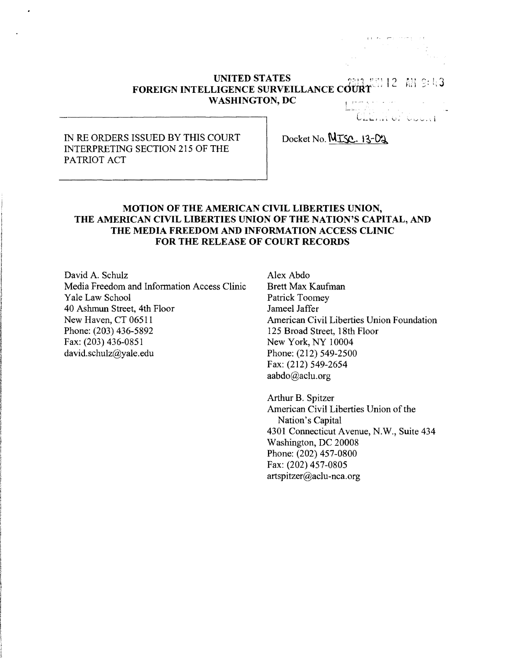#### **UNITED STATES ,** N 12 AN 9:43 **FOREIGN INTELLIGENCE SURVEILLANCE cdURT WASHINGTON, DC <sup>t</sup>**

والمستحدث والمحافظ والمستنقط

## IN RE ORDERS ISSUED BY THIS COURT INTERPRETING SECTION 215 OF THE PATRIOT ACT

# Docket No. NISC. 13-02

## **MOTION OF THE AMERICAN CIVIL LIBERTIES UNION, THE AMERICAN CIVIL LIBERTIES UNION OF THE NATION'S CAPITAL, AND THE MEDIA FREEDOM AND INFORMATION ACCESS CLINIC FOR THE RELEASE OF COURT RECORDS**

David A. Schulz Media Freedom and Information Access Clinic Yale Law School 40 Ashmun Street, 4th Floor New Haven, CT 06511 Phone: (203) 436-5892 Fax: (203) 436-0851 [david.schulz@yale.edu](mailto:david.schulz@yale.edu)

Alex Abdo Brett Max Kaufman Patrick Toomey Jameel Jaffer American Civil Liberties Union Foundation 125 Broad Street, 18th Floor New York, NY 10004 Phone: (212) 549-2500 Fax: (212) 549-2654 [aabdo@aclu.org](mailto:aabdo@aclu.org)

Arthur B. Spitzer American Civil Liberties Union of the Nation's Capital 4301 Connecticut Avenue, N.W., Suite 434 Washington, DC 20008 Phone: (202) 457-0800 Fax: (202) 457-0805 [artspitzer@aclu-nca.org](mailto:artspitzer@aclu-nca.org)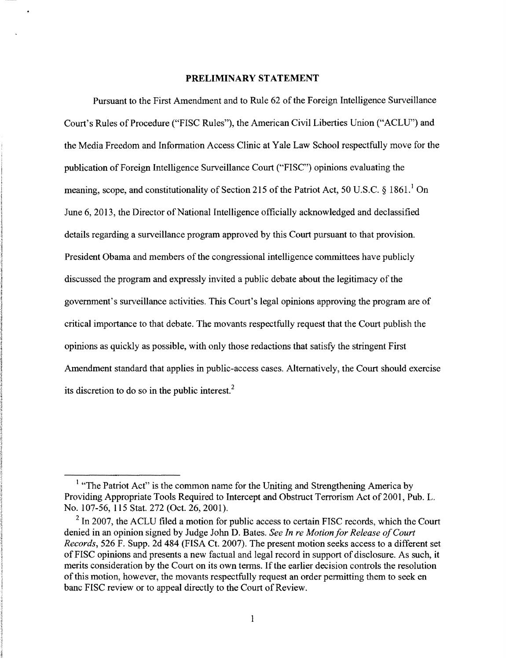#### **PRELIMINARY STATEMENT**

Pursuant to the First Amendment and to Rule 62 of the Foreign Intelligence Surveillance Court's Rules of Procedure ("FISC Rules"), the American Civil Liberties Union ("ACLU") and the Media Freedom and Information Access Clinic at Yale Law School respectfully move for the publication ofForeign Intelligence Surveillance Court ("FISC") opinions evaluating the meaning, scope, and constitutionality of Section 2[1](#page-1-0)5 of the Patriot Act, 50 U.S.C.  $\S 1861<sup>1</sup>$  On June 6, 2013, the Director of National Intelligence officially acknowledged and declassified details regarding a surveillance program approved by this Court pursuant to that provision. President Obama and members of the congressional intelligence committees have publicly discussed the program and expressly invited a public debate about the legitimacy of the government's surveillance activities. This Court's legal opinions approving the program are of critical importance to that debate. The movants respectfully request that the Court publish the opinions as quickly as possible, with only those redactions that satisfy the stringent First Amendment standard that applies in public-access cases. Alternatively, the Court should exercise its discretion to do so in the public interest. $<sup>2</sup>$  $<sup>2</sup>$  $<sup>2</sup>$ </sup>

<span id="page-1-0"></span><sup>&</sup>lt;sup>1</sup> "The Patriot Act" is the common name for the Uniting and Strengthening America by Providing Appropriate Tools Required to Intercept and Obstruct Terrorism Act of 2001, Pub. L. No. 107-56, 115 Stat. 272 (Oct. 26, 2001).

<span id="page-1-1"></span> $2 \text{ In } 2007$ , the ACLU filed a motion for public access to certain FISC records, which the Court denied in an opinion signed by Judge John D. Bates. *See In re MotionforRelease ofCourt Records,* 526 F. Supp. 2d 484 (FISA Ct. 2007). The present motion seeks access to a different set ofFISC opinions and presents a new factual and legal record in support of disclosure. As such, it merits consideration by the Court on its own terms. If the earlier decision controls the resolution ofthis motion, however, the movants respectfully request an order permitting them to seek en banc FISC review or to appeal directly to the Court of Review.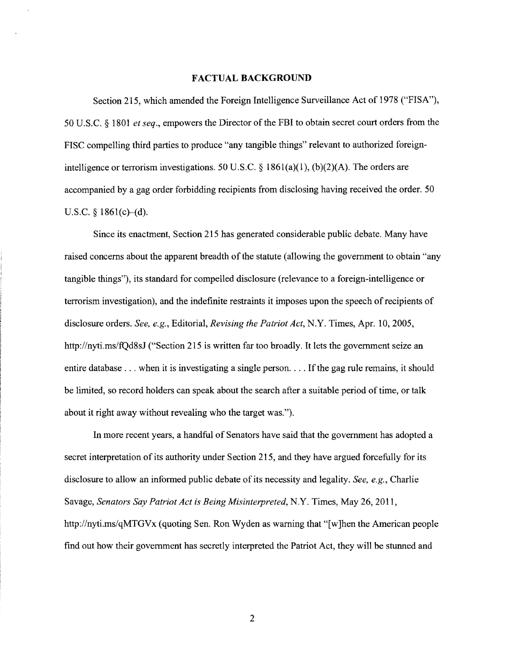#### **FACTUAL BACKGROUND**

Section 215, which amended the Foreign Intelligence Surveillance Act of 1978 ("FISA"), 50 U.S.C. § 1801 *et seq.*, empowers the Director of the FBI to obtain secret court orders from the FISC compelling third parties to produce "any tangible things" relevant to authorized foreignintelligence or terrorism investigations. 50 U.S.C. § 1861(a)(1), (b)(2)(A). The orders are accompanied by a gag order forbidding recipients from disclosing having received the order. 50 U.S.C.  $\S$  1861(c)–(d).

Since its enactment, Section 215 has generated considerable public debate. Many have raised concerns about the apparent breadth of the statute (allowing the government to obtain "any tangible things"), its standard for compelled disclosure (relevance to a foreign-intelligence or terrorism investigation), and the indefinite restraints it imposes upon the speech ofrecipients of disclosure orders. *See, e.g.,* Editorial, *Revising the Patriot Act,* N.Y. Times, Apr. 10, 2005, <http://nyti.ms/fQd8sJ> ("Section 215 is written far too broadly. It lets the government seize an entire database  $\dots$  when it is investigating a single person... If the gag rule remains, it should be limited, so record holders can speak about the search after a suitable period of time, or talk about it right away without revealing who the target was.").

In more recent years, a handful of Senators have said that the government has adopted a secret interpretation of its authority under Section 215, and they have argued forcefully for its disclosure to allow an informed public debate of its necessity and legality. *See, e.g.*, Charlie Savage, *Senators Say PatriotAct is Being Misinterpreted,* N.Y. Times, May 26, 2011, <http://nyti.ms/qMTGVx> (quoting Sen. Ron Wyden as warning that "[w]hen the American people find out how their government has secretly interpreted the Patriot Act, they will be stunned and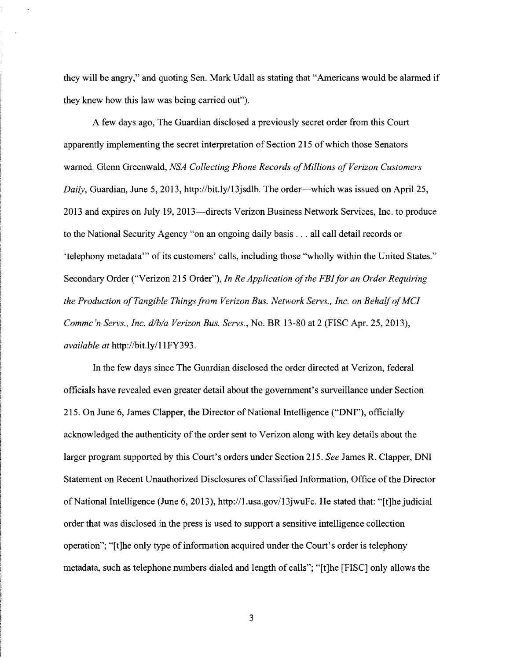they will be angry," and quoting Sen. Mark Udall as stating that "Americans would be alarmed if they knew how this law was being carried out").

A few days ago, The Guardian disclosed a previously secret order from this Court apparently implementing the secret interpretation of Section 215 of which those Senators warned. Glenn Greenwald, *NSA Collecting Phone Records ofMillions ofVerizon Customers Daily,* Guardian, June 5, 2013, <http://bit.ly/13jsdlb>. The order—which was issued on April 25, 2013 and expires on July 19, 2013—directs Verizon Business Network Services, Inc. to produce to the National Security Agency "on an ongoing daily basis ... all call detail records or 'telephony metadata''' of its customers' calls, including those "wholly within the United States." Secondary Order ("Verizon 215 Order"), *In Re Application ofthe FBIfor an Order Requiring the Production ofTangible Thingsfrom Verizon Bus. Network Servs., Inc. on BehalfofMCI Commc'n Servs., Inc. d/b/a Verizon Bus. Servs.,* No. BR 13-80 at 2 (FISC Apr. 25, 2013), *available at* [http://bit.ly/1](http://bit.ly/11FY393)1FY393.

In the few days since The Guardian disclosed the order directed at Verizon, federal officials have revealed even greater detail about the government's surveillance under Section 215. On June 6, James Clapper, the Director of National Intelligence ("DNI"), officially acknowledged the authenticity of the order sent to Verizon along with key details about the larger program supported by this Court's orders under Section 215. *See* James R. Clapper, DNI Statement on Recent Unauthorized Disclosures of Classified Information, Office of the Director ofNational Intelligence (June 6, 2013), http://l.[usa.gov/13jwuFc](http://l.usa.gov/13jwuFc). He stated that: "[t]he judicial order that was disclosed in the press is used to support a sensitive intelligence collection operation"; "[t]he only type of information acquired under the Court's order is telephony metadata, such as telephone numbers dialed and length of calls"; "[t]he [FISC] only allows the

3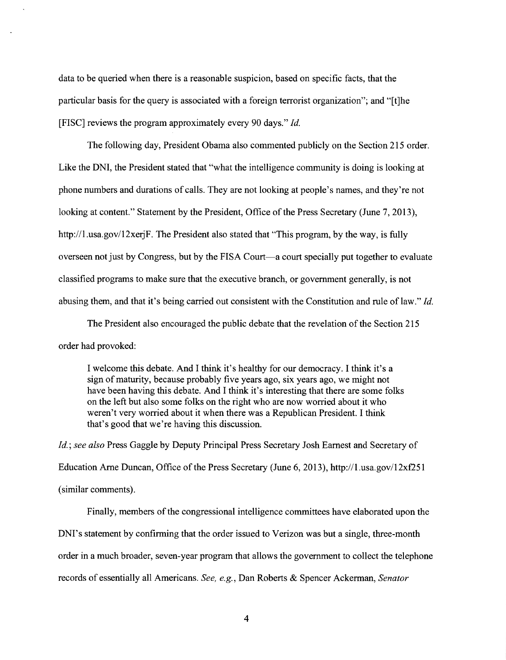data to be queried when there is a reasonable suspicion, based on specific facts, that the particular basis for the query is associated with a foreign terrorist organization"; and "[t]he [FISC] reviews the program approximately every 90 days." *Id.*

The following day, President Obama also commented publicly on the Section 215 order. Like the DNI, the President stated that "what the intelligence community is doing is looking at phone numbers and durations of calls. They are not looking at people's names, and they're not looking at content." Statement by the President, Office of the Press Secretary (June 7, 2013), http://l.usa.gov/12xerjF. The President also stated that "This program, by the way, is fully overseen not just by Congress, but by the FISA Court—a court specially put together to evaluate classified programs to make sure that the executive branch, or government generally, is not abusing them, and that it's being carried out consistent with the Constitution and rule oflaw." *Id.*

The President also encouraged the public debate that the revelation of the Section 215 order had provoked:

I welcome this debate. And I think it's healthy for our democracy. I think it's a sign of maturity, because probably five years ago, six years ago, we might not have been having this debate. And I think it's interesting that there are some folks on the left but also some folks on the right who are now worried about it who weren't very worried about it when there was a Republican President. I think that's good that we're having this discussion.

*Id.', see also* Press Gaggle by Deputy Principal Press Secretary Josh Earnest and Secretary of Education Arne Duncan, Office of the Press Secretary (June 6, 2013), http://1.usa.gov/12xf251 (similar comments).

Finally, members of the congressional intelligence committees have elaborated upon the DNI's statement by confirming that the order issued to Verizon was but a single, three-month order in a much broader, seven-year program that allows the government to collect the telephone records of essentially all Americans. *See, e.g.,* Dan Roberts & Spencer Ackerman, *Senator*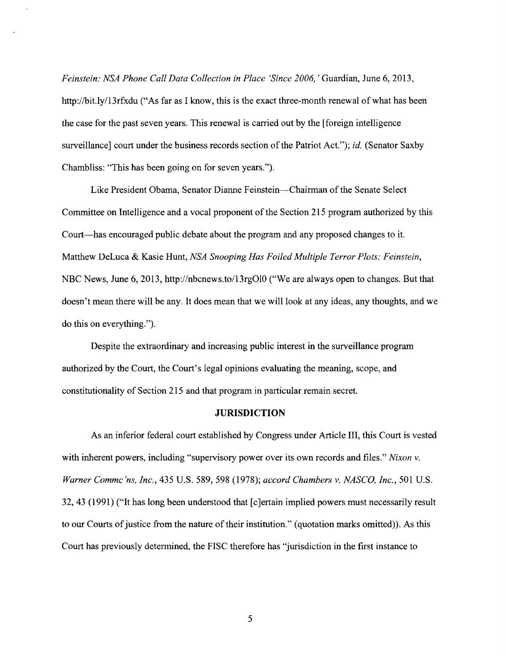*Feinstein: NSA Phone Call Data Collection in Place 'Since 2006,*' Guardian, June 6, 2013, <http://bit.ly/13rfxdu> ("As far as I know, this is the exact three-month renewal of what has been the case for the past seven years. This renewal is carried out by the [foreign intelligence surveillance] court under the business records section of the Patriot Act."); *id.* (Senator Saxby Chambliss: "This has been going on for seven years.").

Like President Obama, Senator Dianne Feinstein—Chairman ofthe Senate Select Committee on Intelligence and a vocal proponent of the Section 215 program authorized by this Court—has encouraged public debate about the program and any proposed changes to it. Matthew DeLuca & Kasie Hunt, *NSA Snooping Has Foiled Multiple Terror Plots: Feinstein,* NBC News, June 6, 2013, <http://nbcnews.to/13rgO10> ("We are always open to changes. But that doesn't mean there will be any. It does mean that we will look at any ideas, any thoughts, and we do this on everything.").

Despite the extraordinary and increasing public interest in the surveillance program authorized by the Court, the Court's legal opinions evaluating the meaning, scope, and constitutionality of Section 215 and that program in particular remain secret.

#### **JURISDICTION**

As an inferior federal court established by Congress under Article III, this Court is vested with inherent powers, including "supervisory power over its own records and files." *Nixon* v. *Warner Commc'ns, Inc.,* 435 U.S. 589, 598 (1978); *accord Chambers* v. *NASCO, Inc.,* 501 U.S. 32, 43 (1991) ("It has long been understood that [c]ertain implied powers must necessarily result to our Courts of justice from the nature of their institution." (quotation marks omitted)). As this Court has previously determined, the FISC therefore has "jurisdiction in the first instance to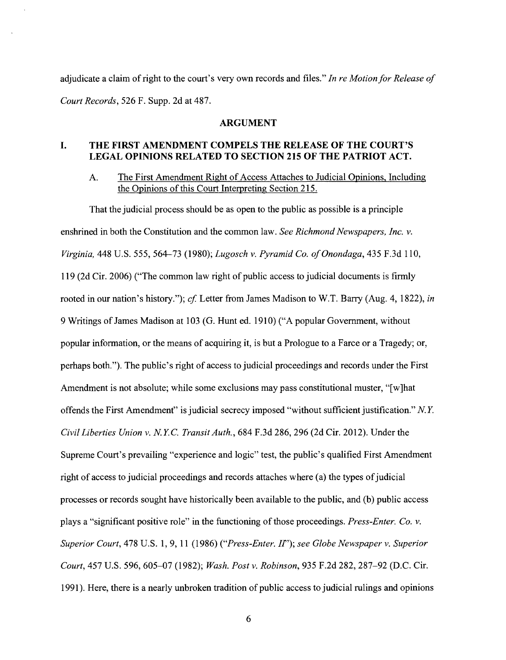adjudicate a claim of right to the court's very own records and files." In re Motion for Release of *Court Records,* 526 F. Supp. 2d at 487.

#### **ARGUMENT**

## **I. THE FIRST AMENDMENT COMPELS THE RELEASE OF THE COURT'S LEGAL OPINIONS RELATED TO SECTION 215 OF THE PATRIOT ACT.**

A. The First Amendment Right of Access Attaches to Judicial Opinions, Including the Opinions of this Court Interpreting Section 215.

That the judicial process should be as open to the public as possible is a principle enshrined in both the Constitution and the common law. *See RichmondNewspapers, Inc. v. Virginia,* 448 U.S. 555, 564—73 (1980); *Lugosch v. Pyramid Co. ofOnondaga,* 435 F.3d 110, 119 (2d Cir. 2006) ("The common law right ofpublic access to judicial documents is firmly rooted in our nation's history."); *of* Letter from James Madison to W.T. Barry (Aug. 4, 1822), *in* 9 Writings of James Madison at 103 (G. Hunt ed. 1910) ("A popular Government, without popular information, or the means of acquiring it, is but a Prologue to a Farce or a Tragedy; or, perhaps both."). The public's right of access to judicial proceedings and records under the First Amendment is not absolute; while some exclusions may pass constitutional muster, "[w]hat offends the First Amendment" isjudicial secrecy imposed "without sufficient justification." *N.Y. Civil Liberties Union* v. *N.Y.C. TransitAuth.,* 684 F.3d 286, 296 (2d Cir. 2012). Under the Supreme Court's prevailing "experience and logic" test, the public's qualified First Amendment right of access to judicial proceedings and records attaches where (a) the types of judicial processes or records sought have historically been available to the public, and (b) public access plays a "significant positive role" in the functioning ofthose proceedings. *Press-Enter. Co. v. Superior Court,* 478 U.S. 1,9, <sup>11</sup> (1986) *(fPress-Enter. IT'); see Globe Newspaper v. Superior Court,* 457 U.S. 596, 605-07 (1982); *Wash. Post v. Robinson,* 935 F.2d 282, 287-92 (D.C. Cir. 1991). Here, there is a nearly unbroken tradition of public access to judicial rulings and opinions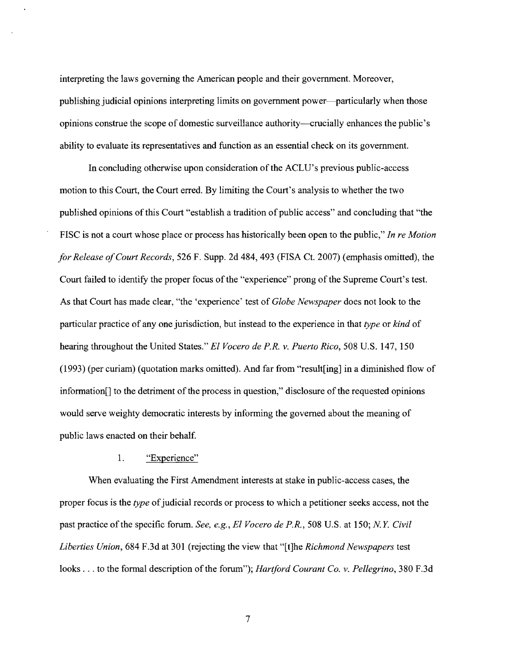interpreting the laws governing the American people and their government. Moreover, publishing judicial opinions interpreting limits on government power—particularly when those opinions construe the scope of domestic surveillance authority—crucially enhances the public's ability to evaluate its representatives and function as an essential check on its government.

In concluding otherwise upon consideration ofthe ACLU's previous public-access motion to this Court, the Court erred. By limiting the Court's analysis to whether the two published opinions of this Court "establish a tradition of public access" and concluding that "the FISC is not a court whose place or process has historically been open to the public," *In re Motion forRelease ofCourt Records,* 526 F. Supp. 2d 484, 493 (FISA Ct. 2007) (emphasis omitted), the Court failed to identify the proper focus of the "experience" prong of the Supreme Court's test. As that Court has made clear, "the 'experience' test of *Globe Newspaper* does not look to the particular practice of any one jurisdiction, but instead to the experience in that *type* or *kind* of hearing throughout the United States." *El Vocero de P.R. v. Puerto Rico,* 508 U.S. 147, 150 (1993) (per curiam) (quotation marks omitted). And far from "resulting] in a diminished flow of information $\lceil \cdot \rceil$  to the detriment of the process in question," disclosure of the requested opinions would serve weighty democratic interests by informing the governed about the meaning of public laws enacted on their behalf.

## 1. "Experience"

When evaluating the First Amendment interests at stake in public-access cases, the proper focus is the *type* ofjudicial records or process to which a petitioner seeks access, not the past practice ofthe specific forum. *See, e.g., El Vocero de P.R.,* 508 U.S. at 150; *N.Y. Civil Liberties Union,* 684 F.3d at 301 (rejecting the view that "[t]he *Richmond Newspapers* test looks . . . to the formal description of the forum"); *Hartford Courant Co. v. Pellegrino*, 380 F.3d

7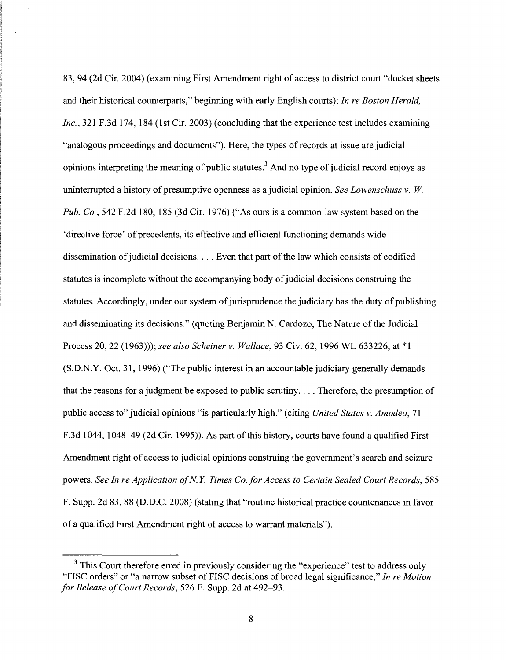83, 94 (2d Cir. 2004) (examining First Amendment right of access to district court "docket sheets and their historical counterparts," beginning with early English courts); *In re Boston Herald, Inc.,* 321 F.3d 174, 184 (1st Cir. 2003) (concluding that the experience test includes examining "analogous proceedings and documents"). Here, the types ofrecords at issue are judicial opinions interpreting the meaning of public statutes.<sup>[3](#page-8-0)</sup> And no type of judicial record enjoys as uninterrupted a history of presumptive openness as a judicial opinion. *See Lowenschuss* v. W. *Pub. Co.,* 542 F.2d 180, 185 (3d Cir. 1976) ("As ours is a common-law system based on the 'directive force' of precedents, its effective and efficient functioning demands wide dissemination of judicial decisions.  $\dots$  Even that part of the law which consists of codified statutes is incomplete without the accompanying body of judicial decisions construing the statutes. Accordingly, under our system of jurisprudence the judiciary has the duty of publishing and disseminating its decisions." (quoting Benjamin N. Cardozo, The Nature of the Judicial Process 20, 22 (1963))); *see also Scheiner* v. *Wallace,* 93 Civ. 62, 1996 WL 633226, at \*1 (S.D.N.Y. Oct. 31, 1996) ("The public interest in an accountable judiciary generally demands that the reasons for a judgment be exposed to public scrutiny. . . . Therefore, the presumption of public access to" judicial opinions "is particularly high." (citing *United States* v. *Amodeo,* 71 F.3d 1044, 1048–49 (2d Cir. 1995)). As part of this history, courts have found a qualified First Amendment right of access to judicial opinions construing the government's search and seizure powers. *See In re Application ofN.Y. Times Co. forAccess to Certain Sealed Court Records,* 585 F. Supp. 2d 83, 88 (D.D.C. 2008) (stating that "routine historical practice countenances in favor of a qualified First Amendment right of access to warrant materials").

<span id="page-8-0"></span><sup>&</sup>lt;sup>3</sup> This Court therefore erred in previously considering the "experience" test to address only "FISC orders" or "a narrow subset of FISC decisions of broad legal significance," In re Motion *for Release ofCourt Records,* 526 F. Supp. 2d at 492-93.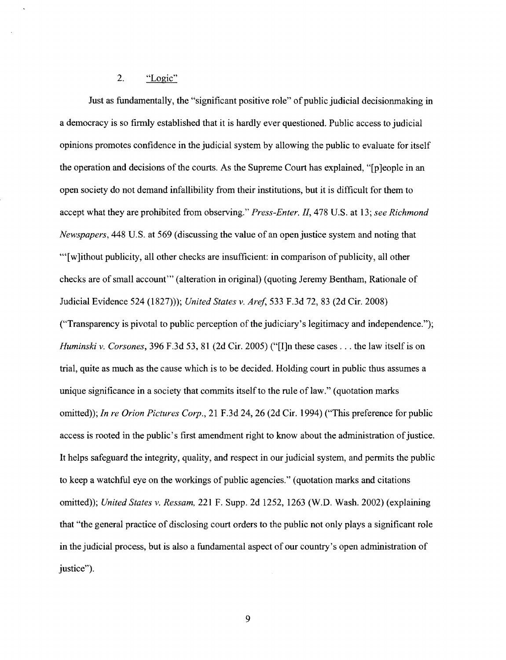## 2. "Logic"

Just as fundamentally, the "significant positive role" of public judicial decisionmaking in a democracy is so firmly established that it is hardly ever questioned. Public access to judicial opinions promotes confidence in the judicial system by allowing the public to evaluate for itself the operation and decisions of the courts. As the Supreme Court has explained, "[p]eople in an open society do not demand infallibility from their institutions, but it is difficult for them to accept what they are prohibited from observing." *Press-Enter. II,* 478 U.S. at 13; *see Richmond Newspapers*, 448 U.S. at 569 (discussing the value of an open justice system and noting that ""[w]ithout publicity, all other checks are insufficient: in comparison of publicity, all other checks are ofsmall account'" (alteration in original) (quoting Jeremy Bentham, Rationale of Judicial Evidence 524 (1827))); *United States v. Aref,* 533 F.3d 72, 83 (2d Cir. 2008) ("Transparency is pivotal to public perception of the judiciary's legitimacy and independence.");

*Huminski* v. *Corsones,* 396 F.3d 53, <sup>81</sup> (2d Cir. 2005) ("[I]n these cases . .. the law itselfis on trial, quite as much as the cause which is to be decided. Holding court in public thus assumes a unique significance in a society that commits itself to the rule of law." (quotation marks omitted)); *In re Orion Pictures Corp.,* 21 F.3d 24, 26 (2d Cir. 1994) ("This preference for public access is rooted in the public's first amendment right to know about the administration of justice. It helps safeguard the integrity, quality, and respect in ourjudicial system, and permits the public to keep a watchful eye on the workings of public agencies." (quotation marks and citations omitted)); *United States v. Ressam,* 221 F. Supp. 2d 1252, 1263 (W.D. Wash. 2002) (explaining that "the general practice of disclosing court orders to the public not only plays a significant role in the judicial process, but is also a fundamental aspect of our country's open administration of justice").

9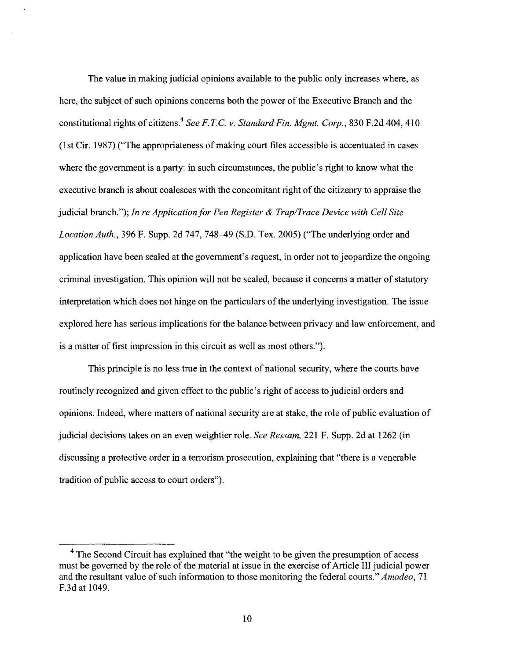The value in making judicial opinions available to the public only increases where, as here, the subject of such opinions concerns both the power of the Executive Branch and the constitutional rights of citizens [4](#page-10-0) *See F.T.C.* v. *StandardFin. Mgmt. Corp.,* 830 F.2d 404, 410 (1st Cir, 1987) ("The appropriateness ofmaking court files accessible is accentuated in cases where the government is a party: in such circumstances, the public's right to know what the executive branch is about coalesces with the concomitant right of the citizenry to appraise the judicial branch."); *In re Applicationfor Pen Register & Trap/Trace Device with Cell Site Location Auth.,* 396 F. Supp. 2d 747, 748-49 (S.D. Tex. 2005) ("The underlying order and application have been sealed at the government's request, in order not to jeopardize the ongoing criminal investigation. This opinion will not be sealed, because it concerns a matter of statutory interpretation which does not hinge on the particulars of the underlying investigation. The issue explored here has serious implications for the balance between privacy and law enforcement, and is a matter of first impression in this circuit as well as most others.").

This principle is no less true in the context of national security, where the courts have routinely recognized and given effect to the public's right of access to judicial orders and opinions. Indeed, where matters of national security are at stake, the role of public evaluation of judicial decisions takes on an even weightier role. *See Ressam,* 221 F. Supp. 2d at 1262 (in discussing a protective order in a terrorism prosecution, explaining that "there is a venerable tradition of public access to court orders").

<span id="page-10-0"></span><sup>&</sup>lt;sup>4</sup> The Second Circuit has explained that "the weight to be given the presumption of access must be governed by the role of the material at issue in the exercise of Article III judicial power and the resultant value of such information to those monitoring the federal courts." *Amodeo*, 71 F.3d at 1049.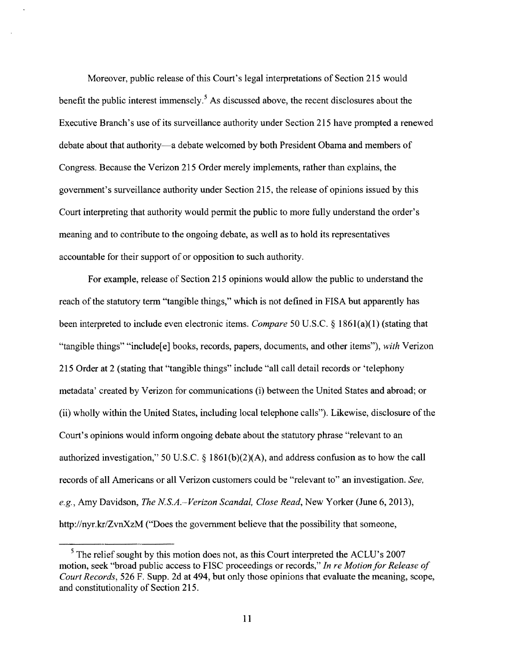Moreover, public release of this Court's legal interpretations of Section 215 would benefit the public interest immensely.<sup>[5](#page-11-0)</sup> As discussed above, the recent disclosures about the Executive Branch's use of its surveillance authority under Section 215 have prompted a renewed debate about that authority—a debate welcomed by both President Obama and members of Congress. Because the Verizon 215 Order merely implements, rather than explains, the government's surveillance authority under Section 215, the release of opinions issued by this Court interpreting that authority would permit the public to more fully understand the order's meaning and to contribute to the ongoing debate, as well as to hold its representatives accountable for their support of or opposition to such authority.

For example, release of Section 215 opinions would allow the public to understand the reach of the statutory term "tangible things," which is not defined in FISA but apparently has been interpreted to include even electronic items. *Compare* 50 U.S.C. § 1861(a)(1) (stating that "tangible things" "includefe] books, records, papers, documents, and other items"), *with* Verizon 215 Order at 2 (stating that "tangible things" include "all call detail records or 'telephony metadata' created by Verizon for communications (i) between the United States and abroad; or (ii) wholly within the United States, including local telephone calls"). Likewise, disclosure of the Court's opinions would inform ongoing debate about the statutory phrase "relevant to an authorized investigation," 50 U.S.C. § 1861(b)(2)(A), and address confusion as to how the call records of all Americans or all Verizon customers could be "relevant to" an investigation. *See, e.g.,* Amy Davidson, *The N.S.A.~Verizon Scandal, Close Read,* New Yorker (June 6, 2013), <http://nyr.kr/ZvnXzM> ("Does the government believe that the possibility that someone,

<span id="page-11-0"></span> $<sup>5</sup>$  The relief sought by this motion does not, as this Court interpreted the ACLU's 2007</sup> motion, seek "broad public access to FISC proceedings or records," *In re MotionforRelease of Court Records,* 526 F. Supp. 2d at 494, but only those opinions that evaluate the meaning, scope, and constitutionality of Section 215.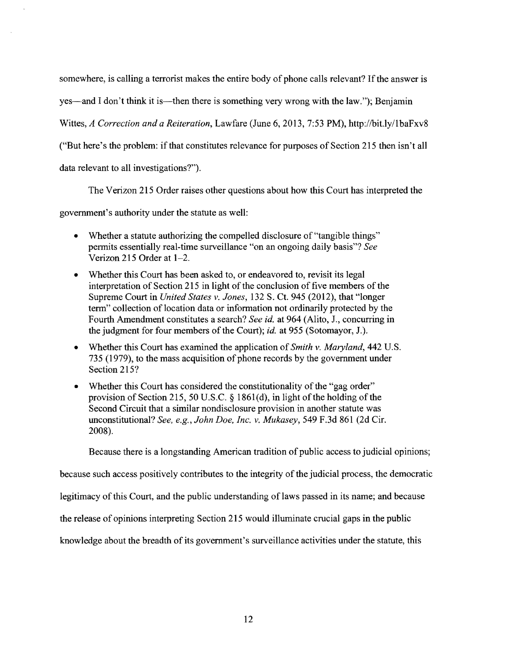somewhere, is calling a terrorist makes the entire body of phone calls relevant? If the answer is

yes—and I don't think it is—then there is something very wrong with the law."); Benjamin

Wittes, *A Correction and a Reiteration,* Lawfare (June 6, 2013, 7:53 PM), <http://bit.ly/lbaFxv8>

("But here's the problem: if that constitutes relevance for purposes of Section 215 then isn't all

data relevant to all investigations?").

The Verizon 215 Order raises other questions about how this Court has interpreted the

government's authority under the statute as well:

- Whether a statute authorizing the compelled disclosure of "tangible things" permits essentially real-time surveillance "on an ongoing daily basis"? *See* Verizon 215 Order at 1-2.
- Whether this Court has been asked to, or endeavored to, revisit its legal interpretation of Section 215 in light of the conclusion of five members of the Supreme Court in *United States v. Jones,* 132 S. Ct. 945 (2012), that "longer term" collection of location data or information not ordinarily protected by the Fourth Amendment constitutes a search? *See id.* at 964 (Alito, J., concurring in the judgment for four members of the Court); *id.* at 955 (Sotomayor, J.).
- Whether this Court has examined the application of*Smith v. Maryland,* 442 U.S. 735 (1979), to the mass acquisition of phone records by the government under Section 215?
- Whether this Court has considered the constitutionality of the "gag order" provision of Section 215, 50 U.S.C.  $\S$  1861(d), in light of the holding of the Second Circuit that a similar nondisclosure provision in another statute was unconstitutional? *See, e.g., John Doe, Inc.* v. *Mukasey,* 549 F.3d 861 (2d Cir. 2008).

Because there is a longstanding American tradition of public access to judicial opinions;

because such access positively contributes to the integrity of the judicial process, the democratic

legitimacy of this Court, and the public understanding of laws passed in its name; and because

the release of opinions interpreting Section 215 would illuminate crucial gaps in the public

knowledge about the breadth of its government's surveillance activities under the statute, this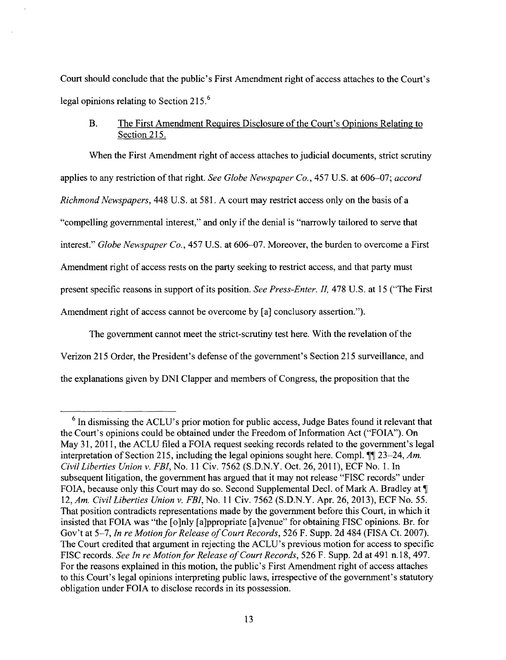Court should conclude that the public's First Amendment right of access attaches to the Court's legal opinions relating to Section 215.[6](#page-13-0)

## B. The First Amendment Requires Disclosure of the Court's Opinions Relating to Section 215.

When the First Amendment right of access attaches to judicial documents, strict scrutiny applies to any restriction ofthat right. *See Globe Newspaper Co.,* 457 U.S. at 606-07; *accord RichmondNewspapers,* 448 U.S. at 581. A court may restrict access only on the basis of a "compelling governmental interest," and only if the denial is "narrowly tailored to serve that interest." *Globe Newspaper Co.,* 457 U.S. at 606-07. Moreover, the burden to overcome a First Amendment right of access rests on the party seeking to restrict access, and that party must present specific reasons in support of its position. *See Press-Enter. II*, 478 U.S. at 15 ("The First Amendment right of access cannot be overcome by [a] conclusory assertion.").

The government cannot meet the strict-scrutiny test here. With the revelation of the Verizon 215 Order, the President's defense ofthe government's Section 215 surveillance, and the explanations given by DNI Clapper and members ofCongress, the proposition that the

<span id="page-13-0"></span><sup>&</sup>lt;sup>6</sup> In dismissing the ACLU's prior motion for public access, Judge Bates found it relevant that the Court's opinions could be obtained under the Freedom of Information Act ("FOIA"). On May 31,2011, the ACLU filed a FOIA request seeking records related to the government's legal interpretation of Section 215, including the legal opinions sought here. Compl.  $\P$  23–24, *Am. Civil Liberties Union v. FBI,* No. 11 Civ. 7562 (S.D.N.Y. Oct. 26, 2011), ECF No. 1. In subsequent litigation, the government has argued that it may not release "FISC records" under FOIA, because only this Court may do so. Second Supplemental Decl. of Mark A. Bradley at  $\P$ 12, *Am. Civil Liberties Union v. FBI,* No. 11 Civ. 7562 (S.D.N.Y. Apr. 26, 2013), ECF No. 55. That position contradicts representations made by the government before this Court, in which it insisted that FOIA was "the [o]nly [a]ppropriate [a]venue" for obtaining FISC opinions. Br. for Gov't at 5-7, *In re MotionforRelease ofCourtRecords,* 526 F. Supp. 2d 484 (FISA Ct. 2007). The Court credited that argument in rejecting the ACLU's previous motion for access to specific FISC records. *See In re Motionfor Release ofCourt Records,* 526 F. Supp. 2d at 491 n.18, 497. For the reasons explained in this motion, the public's First Amendment right of access attaches to this Court's legal opinions interpreting public laws, irrespective of the government's statutory obligation under FOIA to disclose records in its possession.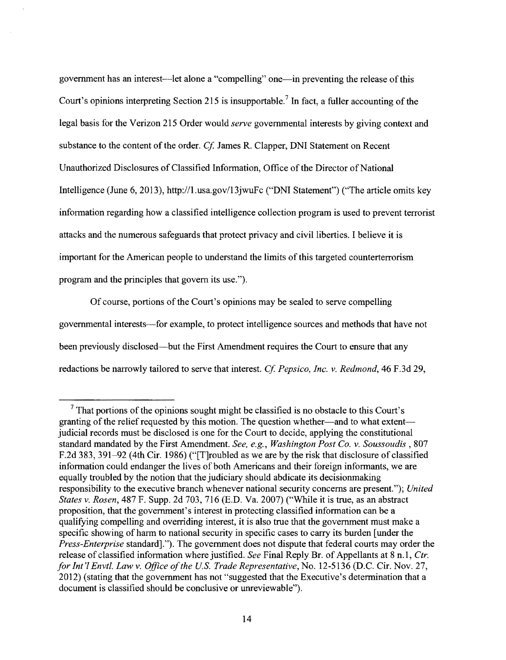government has an interest—let alone a "compelling" one—in preventing the release ofthis Court's opinions interpreting Section 215 is insupportable.<sup>[7](#page-14-0)</sup> In fact, a fuller accounting of the legal basis for the Verizon 215 Order would *serve* governmental interests by giving context and substance to the content of the order. *Cf.* James R. Clapper, DNI Statement on Recent Unauthorized Disclosures of Classified Information, Office of the Director of National Intelligence (June 6, 2013), <http://l> .<usa.gov/13jwuFc> ("DNI Statement") ("The article omits key information regarding how a classified intelligence collection program is used to prevent terrorist attacks and the numerous safeguards that protect privacy and civil liberties. I believe it is important for the American people to understand the limits of this targeted counterterrorism program and the principles that govern its use.").

Of course, portions of the Court's opinions may be sealed to serve compelling governmental interests—for example, to protect intelligence sources and methods that have not been previously disclosed—but the First Amendment requires the Court to ensure that any redactions be narrowly tailored to serve that interest. *Cf. Pepsico, Inc. v. Redmond,* 46 F.3d 29,

<span id="page-14-0"></span> $7$  That portions of the opinions sought might be classified is no obstacle to this Court's granting of the relief requested by this motion. The question whether—and to what extent judicial records must be disclosed is one for the Court to decide, applying the constitutional standard mandated by the First Amendment. *See, e.g., Washington Post Co. v. Soussoudis ,* 807 F.2d 383, 391–92 (4th Cir. 1986) ("[T]roubled as we are by the risk that disclosure of classified information could endanger the lives of both Americans and their foreign informants, we are equally troubled by the notion that the judiciary should abdicate its decisionmaking responsibility to the executive branch whenever national security concerns are present."); *United States v. Rosen,* 487 F. Supp. 2d 703, 716 (E.D. Va. 2007) ("While it is true, as an abstract proposition, that the government's interest in protecting classified information can be a qualifying compelling and overriding interest, it is also true that the government must make a specific showing of harm to national security in specific cases to carry its burden [under the *Press-Enterprise* standard]."). The government does not dispute that federal courts may order the release of classified information where justified. *See* Final Reply Br. of Appellants at 8 n.1, *Ctr. forInt* 7 *Envtl. Law v. Office ofthe U.S. Trade Representative,* No. 12-5136 (D.C. Cir. Nov. 27, 2012) (stating that the government has not "suggested that the Executive's determination that a document is classified should be conclusive or unreviewable").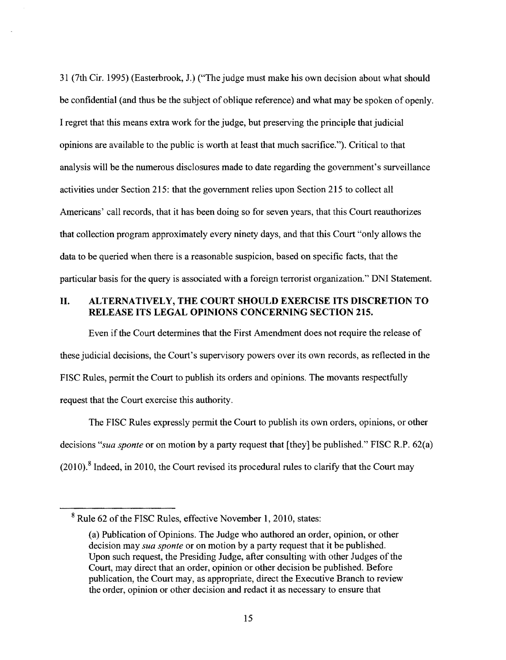31 (7th Cir. 1995) (Easterbrook, J.) ("The judge must make his own decision about what should be confidential (and thus be the subject of oblique reference) and what may be spoken of openly. I regret that this means extra work for the judge, but preserving the principle that judicial opinions are available to the public is worth at least that much sacrifice."). Critical to that analysis will be the numerous disclosures made to date regarding the government's surveillance activities under Section 215: that the government relies upon Section 215 to collect all Americans' call records, that it has been doing so for seven years, that this Court reauthorizes that collection program approximately every ninety days, and that this Court "only allows the data to be queried when there is a reasonable suspicion, based on specific facts, that the particular basis for the query is associated with a foreign terrorist organization." DNI Statement.

## **II. ALTERNATIVELY, THE COURT SHOULD EXERCISE ITS DISCRETION TO RELEASE ITS LEGAL OPINIONS CONCERNING SECTION 215.**

Even if the Court determines that the First Amendment does not require the release of these judicial decisions, the Court's supervisory powers over its own records, as reflected in the FISC Rules, permit the Court to publish its orders and opinions. The movants respectfully request that the Court exercise this authority.

The FISC Rules expressly permit the Court to publish its own orders, opinions, or other decisions *"sua sponte* or on motion by a party request that [they] be published." FISC R.P. 62(a)  $(2010)$ .<sup>[8](#page-15-0)</sup> Indeed, in 2010, the Court revised its procedural rules to clarify that the Court may

<span id="page-15-0"></span><sup>&</sup>lt;sup>8</sup> Rule 62 of the FISC Rules, effective November 1, 2010, states:

<sup>(</sup>a) Publication of Opinions. The Judge who authored an order, opinion, or other decision may *sua sponte* or on motion by a party request that it be published. Upon such request, the Presiding Judge, after consulting with other Judges of the Court, may direct that an order, opinion or other decision be published. Before publication, the Court may, as appropriate, direct the Executive Branch to review the order, opinion or other decision and redact it as necessary to ensure that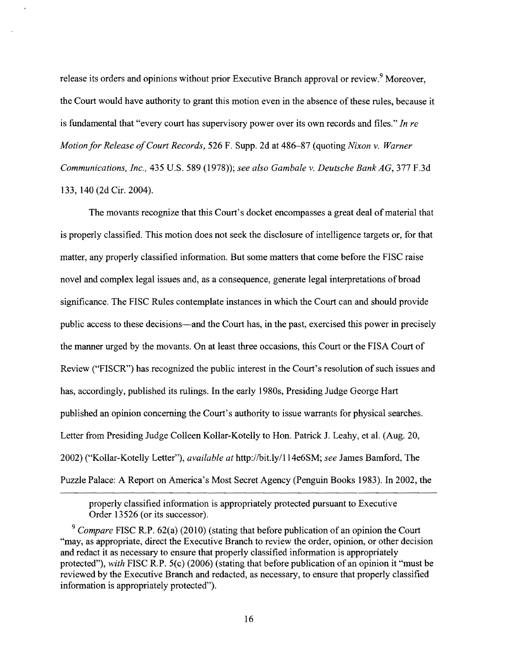release its orders and opinions without prior Executive Branch approval or review.<sup>[9](#page-16-0)</sup> Moreover, the Court would have authority to grant this motion even in the absence of these rules, because it is fundamental that "every court has supervisory power over its own records and files." *In re Motionfor Release ofCourt Records,* 526 F. Supp. 2d at 486-87 (quoting *Nixon* v. *Warner Communications, Inc.,* 435 U.S. 589 (1978)); *see also Gambale* v. *Deutsche BankAG,* 377 F.3d 133, 140 (2d Cir. 2004).

The movants recognize that this Court's docket encompasses a great deal of material that is properly classified. This motion does not seek the disclosure of intelligence targets or, for that matter, any properly classified information. But some matters that come before the FISC raise novel and complex legal issues and, as a consequence, generate legal interpretations of broad significance. The FISC Rules contemplate instances in which the Court can and should provide public access to these decisions—and the Court has, in the past, exercised this power in precisely the manner urged by the movants. On at least three occasions, this Court or the FISA Court of Review ("FISCR") has recognized the public interest in the Court's resolution ofsuch issues and has, accordingly, published its rulings. In the early 1980s, Presiding Judge George Hart published an opinion concerning the Court's authority to issue warrants for physical searches. Letter from Presiding Judge Colleen Kollar-Kotelly to Hon. Patrick J. Leahy, et al. (Aug. 20, 2002) ("Kollar-Kotelly Letter"), *available at* <http://bit.ly/114e6SM>; *see* James Bamford, The Puzzle Palace: A Report on America's Most Secret Agency (Penguin Books 1983). In 2002, the

properly classified information is appropriately protected pursuant to Executive Order 13526 (or its successor).

<span id="page-16-0"></span>*<sup>9</sup> Compare* FISC R.P. 62(a) (2010) (stating that before publication of an opinion the Court "may, as appropriate, direct the Executive Branch to review the order, opinion, or other decision and redact it as necessary to ensure that properly classified information is appropriately protected"), *with* FISC R.P. 5(c) (2006) (stating that before publication of an opinion it "must be reviewed by the Executive Branch and redacted, as necessary, to ensure that properly classified information is appropriately protected").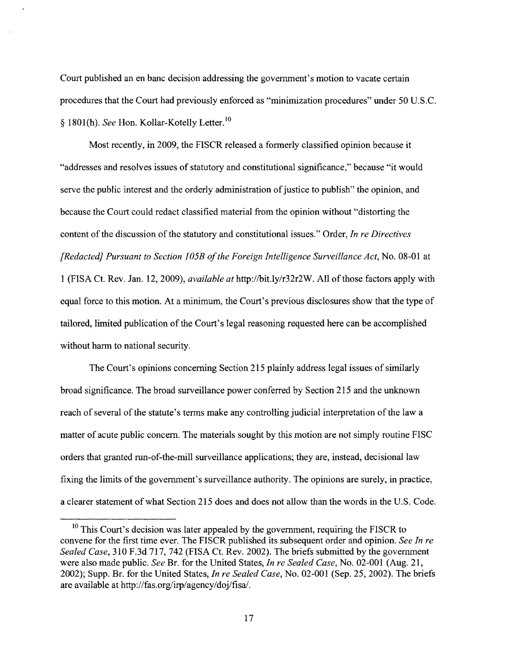Court published an en banc decision addressing the government's motion to vacate certain procedures that the Court had previously enforced as "minimization procedures" under 50 U.S.C. § 1801(h). *See* Hon. Kollar-Kotelly Letter.<sup>[10](#page-17-0)</sup>

Most recently, in 2009, the FISCR released a formerly classified opinion because it "addresses and resolves issues of statutory and constitutional significance," because "it would serve the public interest and the orderly administration of justice to publish" the opinion, and because the Court could redact classified material from the opinion without "distorting the content of the discussion of the statutory and constitutional issues." Order, *In re Directives [Redacted] Pursuant to Section 105B ofthe Foreign Intelligence Surveillance Act,* No. 08-01 at <sup>1</sup> (FISA Ct. Rev. Jan. 12, 2009), *available at* <http://bit.ly/r32r2W>. All ofthose factors apply with equal force to this motion. At a minimum, the Court's previous disclosures show that the type of tailored, limited publication of the Court's legal reasoning requested here can be accomplished without harm to national security.

The Court's opinions concerning Section 215 plainly address legal issues of similarly broad significance. The broad surveillance power conferred by Section 215 and the unknown reach of several of the statute's terms make any controlling judicial interpretation of the law a matter of acute public concern. The materials sought by this motion are not simply routine FISC orders that granted run-of-the-mill surveillance applications; they are, instead, decisional law fixing the limits ofthe government's surveillance authority. The opinions are surely, in practice, a clearer statement ofwhat Section 215 does and does not allow than the words in the U.S. Code.

<span id="page-17-0"></span> $10$  This Court's decision was later appealed by the government, requiring the FISCR to convene for the first time ever. The FISCR published its subsequent order and opinion. *See In re Sealed Case,* 310 F.3d 717, 742 (FISA Ct. Rev. 2002). The briefs submitted by the government were also made public. *See* Br. for the United States, *In re Sealed Case,* No. 02-001 (Aug. 21, 2002); Supp. Br. for the United States, *In re Sealed Case,* No. 02-001 (Sep. 25, 2002). The briefs are available at <http://fas.org/irp/agcncy/doj/fisa/>.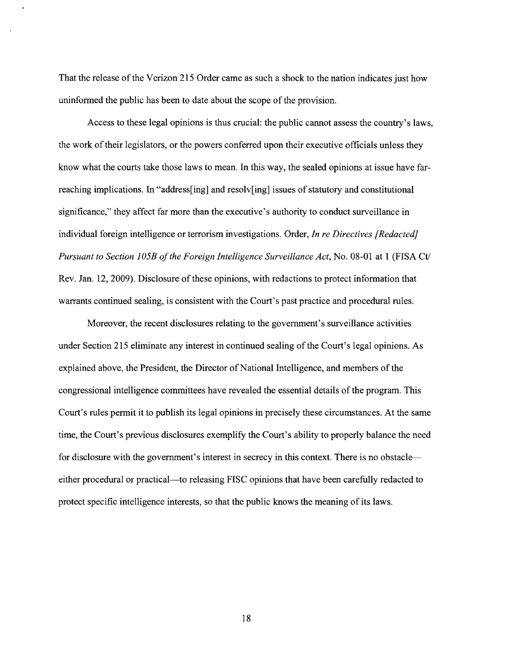That the release of the Verizon 215 Order came as such a shock to the nation indicates just how uninformed the public has been to date about the scope of the provision.

Access to these legal opinions is thus crucial: the public cannot assess the country's laws, the work oftheir legislators, or the powers conferred upon their executive officials unless they know what the courts take those laws to mean. In this way, the sealed opinions at issue have farreaching implications. In "address[ing] and resolv[ing] issues of statutory and constitutional significance," they affect far more than the executive's authority to conduct surveillance in individual foreign intelligence or terrorism investigations. Order, *In re Directives [Redacted] Pursuant to Section 105B ofthe Foreign Intelligence Surveillance Act,* No. 08-01 at <sup>1</sup> (FISA Ct/ Rev. Jan. 12, 2009). Disclosure of these opinions, with redactions to protect information that warrants continued sealing, is consistent with the Court's past practice and procedural rules.

Moreover, the recent disclosures relating to the government's surveillance activities under Section 215 eliminate any interest in continued sealing of the Court's legal opinions. As explained above, the President, the Director of National Intelligence, and members of the congressional intelligence committees have revealed the essential details of the program. This Court's rules permit it to publish its legal opinions in precisely these circumstances. At the same time, the Court's previous disclosures exemplify the Court's ability to properly balance the need for disclosure with the government's interest in secrecy in this context. There is no obstacle either procedural or practical—to releasing FISC opinions that have been carefully redacted to protect specific intelligence interests, so that the public knows the meaning ofits laws.

18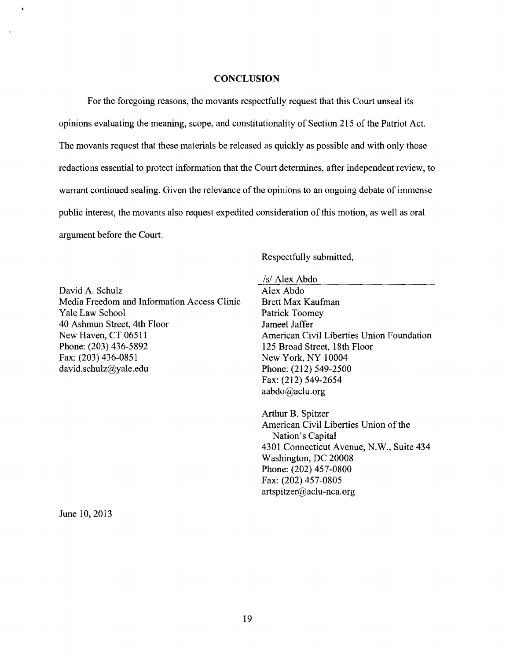#### **CONCLUSION**

For the foregoing reasons, the movants respectfully request that this Court unseal its opinions evaluating the meaning, scope, and constitutionality of Section 215 of the Patriot Act. The movants request that these materials be released as quickly as possible and with only those redactions essential to protect information that the Court determines, after independent review, to warrant continued sealing. Given the relevance of the opinions to an ongoing debate of immense public interest, the movants also request expedited consideration of this motion, as well as oral argument before the Court.

Respectfully submitted,

David A. Schulz Media Freedom and Information Access Clinic Yale Law School 40 Ashmun Street, 4th Floor New Haven, CT 06511 Phone: (203) 436-5892 Fax: (203) 436-0851 [david.schulz@yale.edu](mailto:david.schulz@yale.edu)

#### /s/ Alex Abdo

Alex Abdo Brett Max Kaufman Patrick Toomey Jameel Jaffer American Civil Liberties Union Foundation 125 Broad Street, 18th Floor New York, NY 10004 Phone: (212) 549-2500 Fax: (212) 549-2654 [aabdo@aclu.org](mailto:aabdo@aclu.org)

Arthur B. Spitzer American Civil Liberties Union of the Nation's Capital 4301 Connecticut Avenue, N.W., Suite 434 Washington, DC 20008 Phone: (202) 457-0800 Fax: (202) 457-0805 [artspitzer@aclu-nca.org](mailto:artspitzer@aclu-nca.org)

June 10, 2013